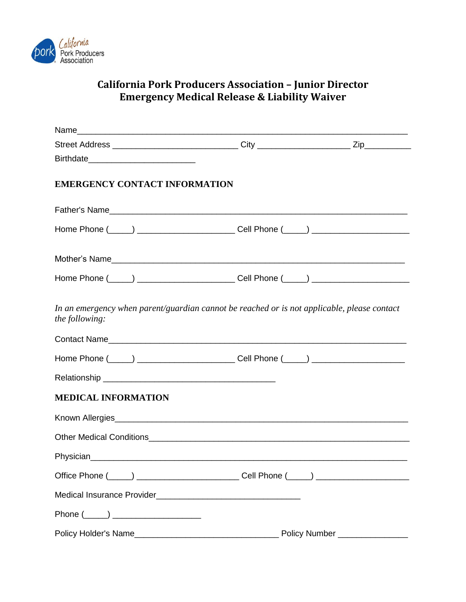

## **California Pork Producers Association – Junior Director Emergency Medical Release & Liability Waiver**

| <b>EMERGENCY CONTACT INFORMATION</b> |                                                                                             |  |
|--------------------------------------|---------------------------------------------------------------------------------------------|--|
|                                      |                                                                                             |  |
|                                      |                                                                                             |  |
|                                      |                                                                                             |  |
|                                      |                                                                                             |  |
| the following:                       | In an emergency when parent/guardian cannot be reached or is not applicable, please contact |  |
|                                      |                                                                                             |  |
| <b>MEDICAL INFORMATION</b>           |                                                                                             |  |
|                                      |                                                                                             |  |
|                                      |                                                                                             |  |
|                                      |                                                                                             |  |
|                                      |                                                                                             |  |
|                                      |                                                                                             |  |
| Phone $(\_\_)$                       |                                                                                             |  |
|                                      |                                                                                             |  |